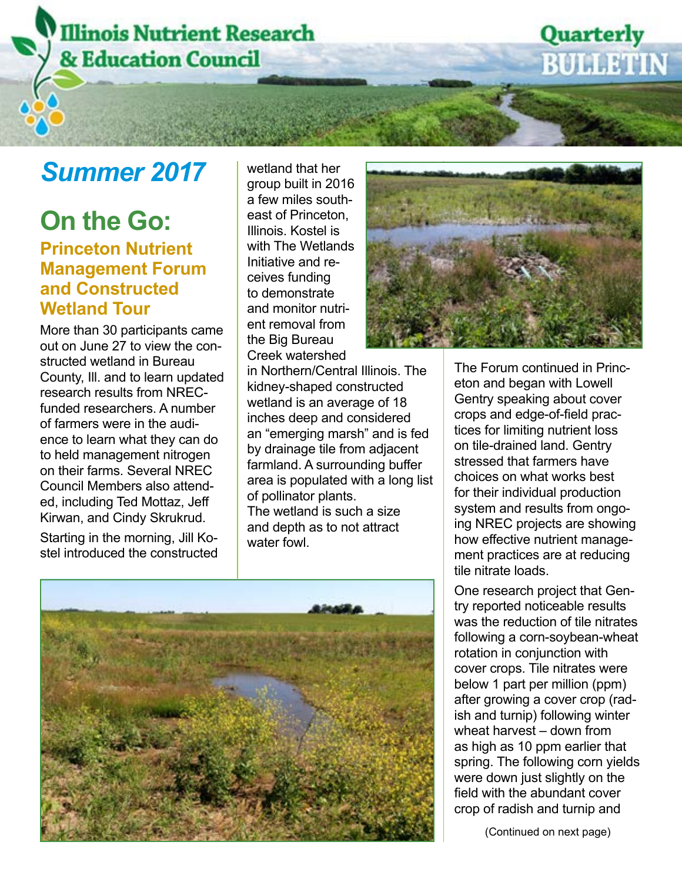# **Illinois Nutrient Research & Education Council**

### **Summer 2017** Wetland that her

### **On the Go: Princeton Nutrient Management Forum and Constructed Wetland Tour**

More than 30 participants came out on June 27 to view the constructed wetland in Bureau County, Ill. and to learn updated research results from NRECfunded researchers. A number of farmers were in the audience to learn what they can do to held management nitrogen on their farms. Several NREC Council Members also attended, including Ted Mottaz, Jeff Kirwan, and Cindy Skrukrud.

Starting in the morning, Jill Kostel introduced the constructed group built in 2016 a few miles southeast of Princeton, Illinois. Kostel is with The Wetlands Initiative and receives funding to demonstrate and monitor nutrient removal from the Big Bureau Creek watershed

in Northern/Central Illinois. The kidney-shaped constructed wetland is an average of 18 inches deep and considered an "emerging marsh" and is fed by drainage tile from adjacent farmland. A surrounding buffer area is populated with a long list of pollinator plants. The wetland is such a size and depth as to not attract water fowl.





The Forum continued in Princeton and began with Lowell Gentry speaking about cover crops and edge-of-field practices for limiting nutrient loss on tile-drained land. Gentry stressed that farmers have choices on what works best for their individual production system and results from ongoing NREC projects are showing how effective nutrient management practices are at reducing tile nitrate loads.

Quarterly

**BULLETIN** 

One research project that Gentry reported noticeable results was the reduction of tile nitrates following a corn-soybean-wheat rotation in conjunction with cover crops. Tile nitrates were below 1 part per million (ppm) after growing a cover crop (radish and turnip) following winter wheat harvest – down from as high as 10 ppm earlier that spring. The following corn yields were down just slightly on the field with the abundant cover crop of radish and turnip and

(Continued on next page)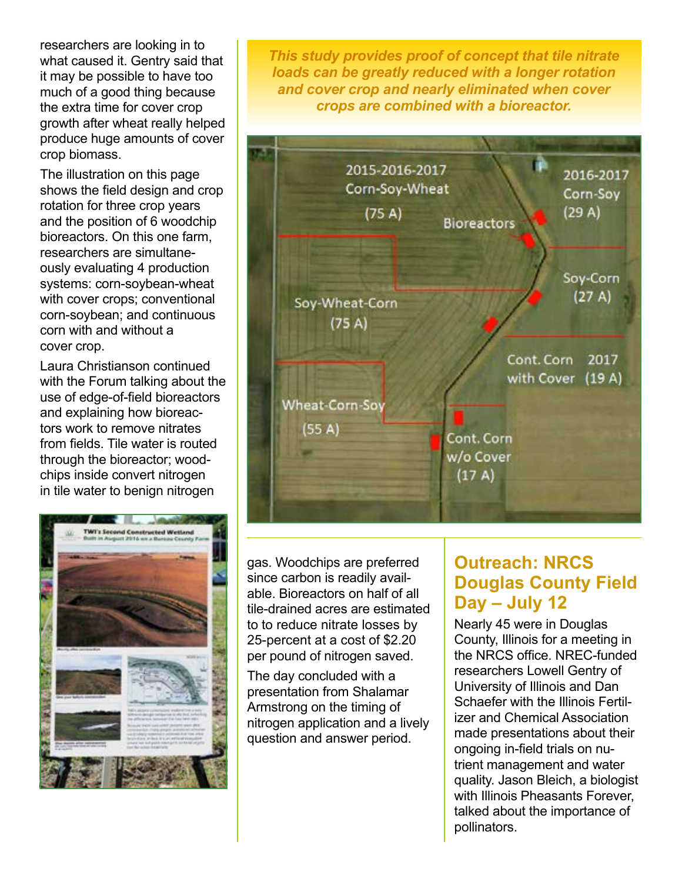researchers are looking in to what caused it. Gentry said that it may be possible to have too much of a good thing because the extra time for cover crop growth after wheat really helped produce huge amounts of cover crop biomass.

The illustration on this page shows the field design and crop rotation for three crop years and the position of 6 woodchip bioreactors. On this one farm, researchers are simultaneously evaluating 4 production systems: corn-soybean-wheat with cover crops; conventional corn-soybean; and continuous corn with and without a cover crop.

Laura Christianson continued with the Forum talking about the use of edge-of-field bioreactors and explaining how bioreactors work to remove nitrates from fields. Tile water is routed through the bioreactor; woodchips inside convert nitrogen in tile water to benign nitrogen



*This study provides proof of concept that tile nitrate loads can be greatly reduced with a longer rotation and cover crop and nearly eliminated when cover crops are combined with a bioreactor.*



gas. Woodchips are preferred since carbon is readily available. Bioreactors on half of all tile-drained acres are estimated to to reduce nitrate losses by 25-percent at a cost of \$2.20 per pound of nitrogen saved.

The day concluded with a presentation from Shalamar Armstrong on the timing of nitrogen application and a lively question and answer period.

#### **Outreach: NRCS Douglas County Field Day – July 12**

Nearly 45 were in Douglas County, Illinois for a meeting in the NRCS office. NREC-funded researchers Lowell Gentry of University of Illinois and Dan Schaefer with the Illinois Fertilizer and Chemical Association made presentations about their ongoing in-field trials on nutrient management and water quality. Jason Bleich, a biologist with Illinois Pheasants Forever. talked about the importance of pollinators.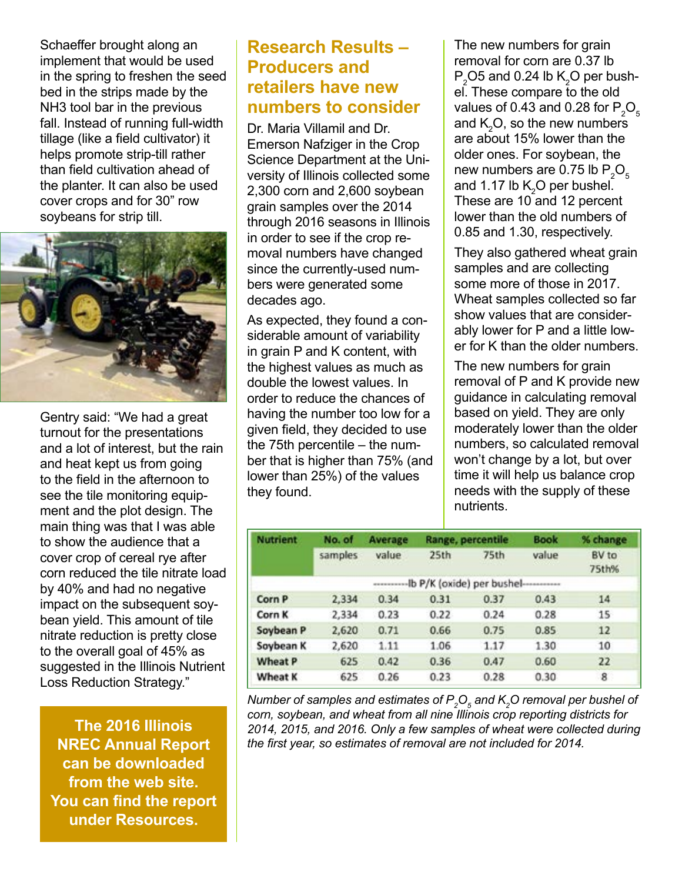Schaeffer brought along an implement that would be used in the spring to freshen the seed bed in the strips made by the NH3 tool bar in the previous fall. Instead of running full-width tillage (like a field cultivator) it helps promote strip-till rather than field cultivation ahead of the planter. It can also be used cover crops and for 30" row soybeans for strip till.



Gentry said: "We had a great turnout for the presentations and a lot of interest, but the rain and heat kept us from going to the field in the afternoon to see the tile monitoring equipment and the plot design. The main thing was that I was able to show the audience that a cover crop of cereal rye after corn reduced the tile nitrate load by 40% and had no negative impact on the subsequent soybean yield. This amount of tile nitrate reduction is pretty close to the overall goal of 45% as suggested in the Illinois Nutrient Loss Reduction Strategy."

**The 2016 Illinois NREC Annual Report can be downloaded from the web site. You can find the report under Resources.**

#### **Research Results – Producers and retailers have new numbers to consider**

Dr. Maria Villamil and Dr. Emerson Nafziger in the Crop Science Department at the University of Illinois collected some 2,300 corn and 2,600 soybean grain samples over the 2014 through 2016 seasons in Illinois in order to see if the crop removal numbers have changed since the currently-used numbers were generated some decades ago.

As expected, they found a considerable amount of variability in grain P and K content, with the highest values as much as double the lowest values. In order to reduce the chances of having the number too low for a given field, they decided to use the 75th percentile – the number that is higher than 75% (and lower than 25%) of the values they found.

The new numbers for grain removal for corn are 0.37 lb  $P_2$ O5 and 0.24 lb K<sub>2</sub>O per bushel. These compare to the old values of 0.43 and 0.28 for  $\mathsf{P}_\mathsf{2}\mathsf{O}_\mathsf{s}$ and  $K_2O$ , so the new numbers are about 15% lower than the older ones. For soybean, the new numbers are 0.75 lb  $P_2O_5$ and 1.17 lb  $\mathsf{K}_{2}\mathsf{O}$  per bushel. These are 10 and 12 percent lower than the old numbers of 0.85 and 1.30, respectively.

They also gathered wheat grain samples and are collecting some more of those in 2017. Wheat samples collected so far show values that are considerably lower for P and a little lower for K than the older numbers.

The new numbers for grain removal of P and K provide new guidance in calculating removal based on yield. They are only moderately lower than the older numbers, so calculated removal won't change by a lot, but over time it will help us balance crop needs with the supply of these nutrients.

| <b>Nutrient</b> | No. of                                          | <b>Average</b><br>value | Range, percentile |      | <b>Book</b> | % change       |
|-----------------|-------------------------------------------------|-------------------------|-------------------|------|-------------|----------------|
|                 | samples                                         |                         | 25th              | 75th | value       | BV to<br>75th% |
|                 | Ib P/K (oxide) per bushel-----------<br>******* |                         |                   |      |             |                |
| Corn P          | 2,334                                           | 0.34                    | 0.31              | 0.37 | 0.43        | 14             |
| Corn K          | 2,334                                           | 0.23                    | 0.22              | 0.24 | 0.28        | 15             |
| Soybean P       | 2,620                                           | 0.71                    | 0.66              | 0.75 | 0.85        | 12             |
| Soybean K       | 2,620                                           | 1.11                    | 1.06              | 1.17 | 1.30        | 10             |
| Wheat P         | 625                                             | 0.42                    | 0.36              | 0.47 | 0.60        | 22             |
| <b>Wheat K</b>  | 625                                             | 0.26                    | 0.23              | 0.28 | 0.30        | 8              |

*Number of samples and estimates of*  $P_{\scriptscriptstyle{2}}O_{\scriptscriptstyle{5}}$  *and*  $K_{\scriptscriptstyle{2}}O$  *removal per bushel of corn, soybean, and wheat from all nine Illinois crop reporting districts for 2014, 2015, and 2016. Only a few samples of wheat were collected during the first year, so estimates of removal are not included for 2014.*